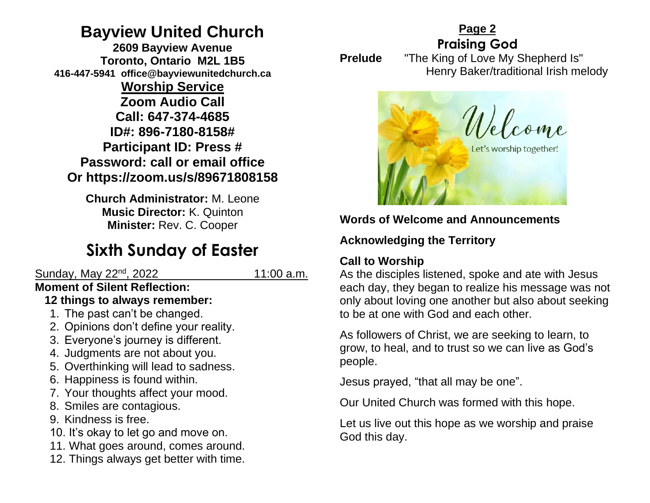## **Bayview United Church**

**2609 Bayview Avenue Toronto, Ontario M2L 1B5 416-447-5941 office@bayviewunitedchurch.ca** 

**Worship Service Zoom Audio Call Call: 647-374-4685 ID#: 896-7180-8158# Participant ID: Press # Password: call or email office Or https://zoom.us/s/89671808158** 

**Church Administrator:** M. Leone **Music Director:** K. Quinton **Minister:** Rev. C. Cooper

# **Sixth Sunday of Easter**

### Sunday, May 22<sup>nd</sup>, 2022 11:00 a.m.

#### **Moment of Silent Reflection: 12 things to always remember:**

- 1. The past can't be changed.
- 2. Opinions don't define your reality.
- 3. Everyone's journey is different.
- 4. Judgments are not about you.
- 5. Overthinking will lead to sadness.
- 6. Happiness is found within.
- 7. Your thoughts affect your mood.
- 8. Smiles are contagious.
- 9. Kindness is free.
- 10. It's okay to let go and move on.
- 11. What goes around, comes around.
- 12. Things always get better with time.

**Praising God Prelude** "The King of Love My Shepherd Is" Henry Baker/traditional Irish melody



**Page 2**

## **Words of Welcome and Announcements**

#### **Acknowledging the Territory** ľ

## **Call to Worship**

As the disciples listened, spoke and ate with Jesus each day, they began to realize his message was not only about loving one another but also about seeking to be at one with God and each other.

As followers of Christ, we are seeking to learn, to grow, to heal, and to trust so we can live as God's people.

Jesus prayed, "that all may be one".

Our United Church was formed with this hope.

Let us live out this hope as we worship and praise God this day.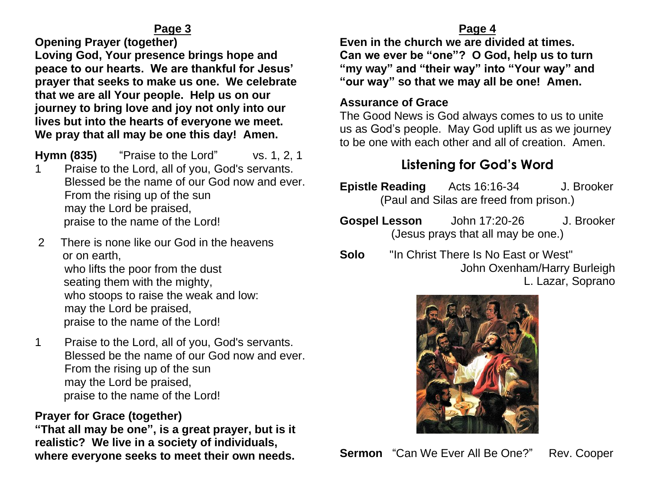**Opening Prayer (together)** 

**Loving God, Your presence brings hope and peace to our hearts. We are thankful for Jesus' prayer that seeks to make us one. We celebrate that we are all Your people. Help us on our journey to bring love and joy not only into our lives but into the hearts of everyone we meet. We pray that all may be one this day! Amen.** 

**Hymn (835)** "Praise to the Lord" vs. 1, 2, 1

- 1 Praise to the Lord, all of you, God's servants. Blessed be the name of our God now and ever. From the rising up of the sun may the Lord be praised, praise to the name of the Lord!
- 2 There is none like our God in the heavens or on earth, who lifts the poor from the dust seating them with the mighty, who stoops to raise the weak and low: may the Lord be praised, praise to the name of the Lord!
- 1 Praise to the Lord, all of you, God's servants. Blessed be the name of our God now and ever. From the rising up of the sun may the Lord be praised, praise to the name of the Lord!

## **Prayer for Grace (together)**

**"That all may be one", is a great prayer, but is it realistic? We live in a society of individuals, where everyone seeks to meet their own needs.** 

#### **Page 4**

**Even in the church we are divided at times. Can we ever be "one"? O God, help us to turn "my way" and "their way" into "Your way" and "our way" so that we may all be one! Amen.** 

#### **Assurance of Grace**

The Good News is God always comes to us to unite us as God's people. May God uplift us as we journey to be one with each other and all of creation. Amen.

## **Listening for God's Word**

- **Epistle Reading** Acts 16:16-34 J. Brooker (Paul and Silas are freed from prison.)
- **Gospel Lesson** John 17:20-26 J. Brooker (Jesus prays that all may be one.)
- **Solo** "In Christ There Is No East or West" John Oxenham/Harry Burleigh L. Lazar, Soprano



**Sermon** "Can We Ever All Be One?" Rev. Cooper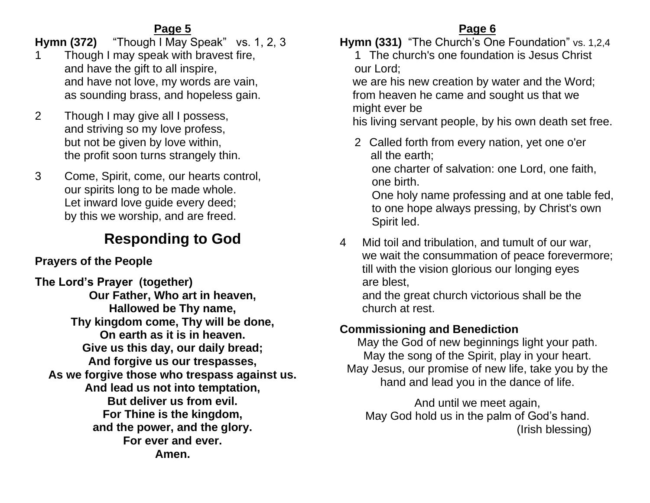**Hymn (372)** "Though I May Speak" vs. 1, 2, 3

- 1 Though I may speak with bravest fire, and have the gift to all inspire, and have not love, my words are vain, as sounding brass, and hopeless gain.
- 2 Though I may give all I possess, and striving so my love profess, but not be given by love within, the profit soon turns strangely thin.
- 3 Come, Spirit, come, our hearts control, our spirits long to be made whole. Let inward love guide every deed; by this we worship, and are freed.

# **Responding to God**

## **Prayers of the People**

**The Lord's Prayer (together) Our Father, Who art in heaven, Hallowed be Thy name, Thy kingdom come, Thy will be done, On earth as it is in heaven. Give us this day, our daily bread; And forgive us our trespasses, As we forgive those who trespass against us. And lead us not into temptation, But deliver us from evil. For Thine is the kingdom, and the power, and the glory. For ever and ever. Amen.**

## **Page 6**

**Hymn (331)** "The Church's One Foundation" vs. 1,2,4

1 The church's one foundation is Jesus Christ our Lord;

 we are his new creation by water and the Word; from heaven he came and sought us that we might ever be

his living servant people, by his own death set free.

2 Called forth from every nation, yet one o'er all the earth;

 one charter of salvation: one Lord, one faith, one birth.

 One holy name professing and at one table fed, to one hope always pressing, by Christ's own Spirit led.

4 Mid toil and tribulation, and tumult of our war, we wait the consummation of peace forevermore; till with the vision glorious our longing eyes are blest,

 and the great church victorious shall be the church at rest.

## **Commissioning and Benediction**

May the God of new beginnings light your path. May the song of the Spirit, play in your heart. May Jesus, our promise of new life, take you by the hand and lead you in the dance of life.

And until we meet again, May God hold us in the palm of God's hand. (Irish blessing)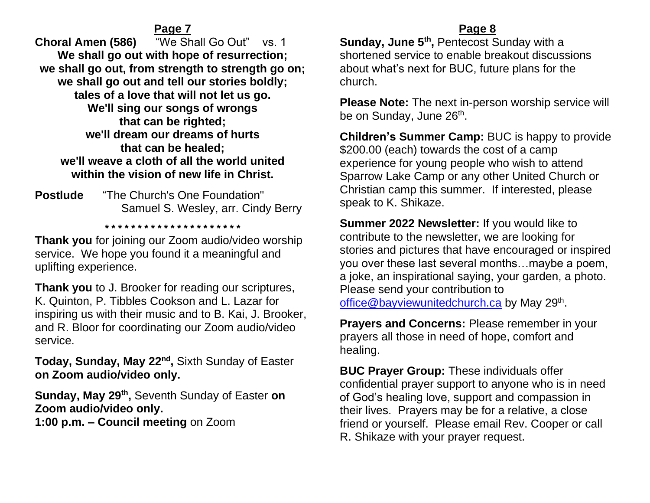**Choral Amen (586)** "We Shall Go Out" vs. 1 **We shall go out with hope of resurrection; we shall go out, from strength to strength go on; we shall go out and tell our stories boldly; tales of a love that will not let us go. We'll sing our songs of wrongs that can be righted; we'll dream our dreams of hurts that can be healed; we'll weave a cloth of all the world united within the vision of new life in Christ.**

**Postlude** "The Church's One Foundation" Samuel S. Wesley, arr. Cindy Berry

**\* \* \* \* \* \* \* \* \* \* \* \* \* \* \* \* \* \* \* \* \***

**Thank you** for joining our Zoom audio/video worship service. We hope you found it a meaningful and uplifting experience.

**Thank you** to J. Brooker for reading our scriptures, K. Quinton, P. Tibbles Cookson and L. Lazar for inspiring us with their music and to B. Kai, J. Brooker, and R. Bloor for coordinating our Zoom audio/video service.

**Today, Sunday, May 22nd ,** Sixth Sunday of Easter **on Zoom audio/video only.**

**Sunday, May 29th ,** Seventh Sunday of Easter **on Zoom audio/video only. 1:00 p.m. – Council meeting** on Zoom

#### **Page 8**

**Sunday, June 5<sup>th</sup>, Pentecost Sunday with a** shortened service to enable breakout discussions about what's next for BUC, future plans for the church.

**Please Note:** The next in-person worship service will be on Sunday, June 26<sup>th</sup>.

**Children's Summer Camp:** BUC is happy to provide \$200.00 (each) towards the cost of a camp experience for young people who wish to attend Sparrow Lake Camp or any other United Church or Christian camp this summer. If interested, please speak to K. Shikaze.

**Summer 2022 Newsletter:** If you would like to contribute to the newsletter, we are looking for stories and pictures that have encouraged or inspired you over these last several months…maybe a poem, a joke, an inspirational saying, your garden, a photo. Please send your contribution to [office@bayviewunitedchurch.ca](mailto:office@bayviewunitedchurch.ca) by May 29<sup>th</sup>.

**Prayers and Concerns:** Please remember in your prayers all those in need of hope, comfort and healing.

**BUC Prayer Group:** These individuals offer confidential prayer support to anyone who is in need of God's healing love, support and compassion in their lives. Prayers may be for a relative, a close friend or yourself. Please email Rev. Cooper or call R. Shikaze with your prayer request.